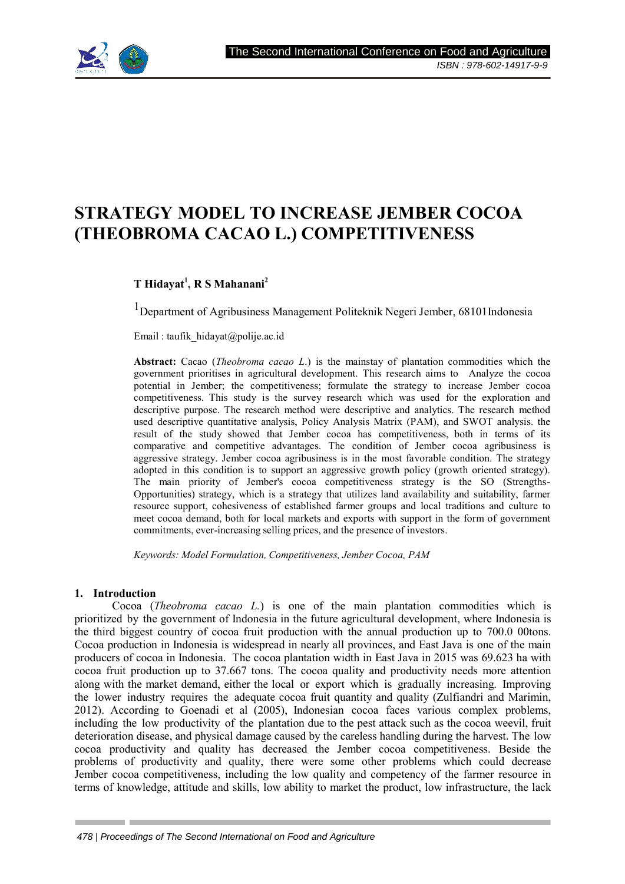

# **STRATEGY MODEL TO INCREASE JEMBER COCOA (THEOBROMA CACAO L.) COMPETITIVENESS**

# **T Hidayat<sup>1</sup> , R S Mahanani<sup>2</sup>**

<sup>1</sup>Department of Agribusiness Management Politeknik Negeri Jember, 68101Indonesia

Email : taufik\_hidayat@polije.ac.id

**Abstract:** Cacao (*Theobroma cacao L*.) is the mainstay of plantation commodities which the government prioritises in agricultural development. This research aims to Analyze the cocoa potential in Jember; the competitiveness; formulate the strategy to increase Jember cocoa competitiveness. This study is the survey research which was used for the exploration and descriptive purpose. The research method were descriptive and analytics. The research method used descriptive quantitative analysis, Policy Analysis Matrix (PAM), and SWOT analysis. the result of the study showed that Jember cocoa has competitiveness, both in terms of its comparative and competitive advantages. The condition of Jember cocoa agribusiness is aggressive strategy. Jember cocoa agribusiness is in the most favorable condition. The strategy adopted in this condition is to support an aggressive growth policy (growth oriented strategy). The main priority of Jember's cocoa competitiveness strategy is the SO (Strengths-Opportunities) strategy, which is a strategy that utilizes land availability and suitability, farmer resource support, cohesiveness of established farmer groups and local traditions and culture to meet cocoa demand, both for local markets and exports with support in the form of government commitments, ever-increasing selling prices, and the presence of investors.

*Keywords: Model Formulation, Competitiveness, Jember Cocoa, PAM*

#### **1. Introduction**

Cocoa (*Theobroma cacao L.*) is one of the main plantation commodities which is prioritized by the government of Indonesia in the future agricultural development, where Indonesia is the third biggest country of cocoa fruit production with the annual production up to 700.0 00tons. Cocoa production in Indonesia is widespread in nearly all provinces, and East Java is one of the main producers of cocoa in Indonesia. The cocoa plantation width in East Java in 2015 was 69.623 ha with cocoa fruit production up to 37.667 tons. The cocoa quality and productivity needs more attention along with the market demand, either the local or export which is gradually increasing. Improving the lower industry requires the adequate cocoa fruit quantity and quality (Zulfiandri and Marimin, 2012). According to Goenadi et al (2005), Indonesian cocoa faces various complex problems, including the low productivity of the plantation due to the pest attack such as the cocoa weevil, fruit deterioration disease, and physical damage caused by the careless handling during the harvest. The low cocoa productivity and quality has decreased the Jember cocoa competitiveness. Beside the problems of productivity and quality, there were some other problems which could decrease Jember cocoa competitiveness, including the low quality and competency of the farmer resource in terms of knowledge, attitude and skills, low ability to market the product, low infrastructure, the lack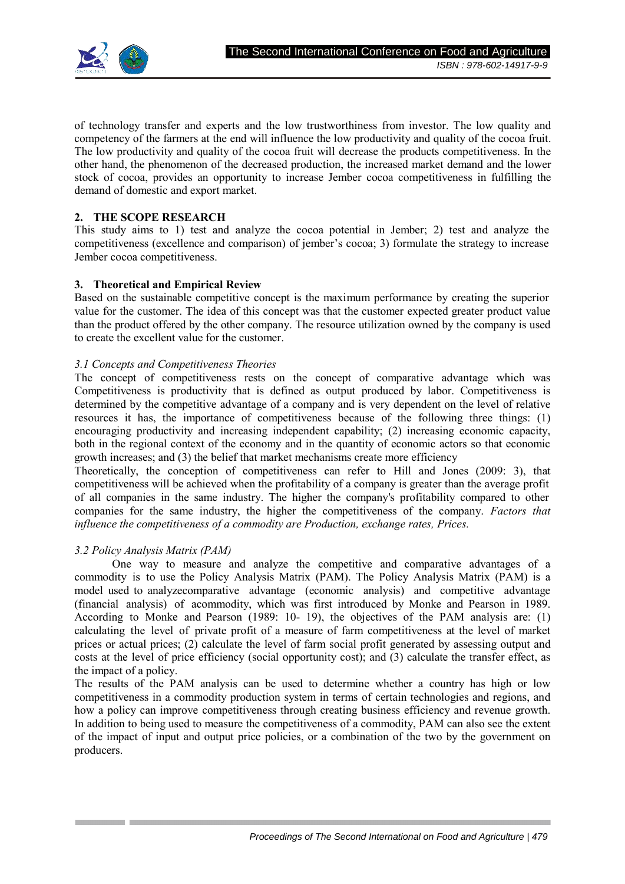

of technology transfer and experts and the low trustworthiness from investor. The low quality and competency of the farmers at the end will influence the low productivity and quality of the cocoa fruit. The low productivity and quality of the cocoa fruit will decrease the products competitiveness. In the other hand, the phenomenon of the decreased production, the increased market demand and the lower stock of cocoa, provides an opportunity to increase Jember cocoa competitiveness in fulfilling the demand of domestic and export market.

## **2. THE SCOPE RESEARCH**

This study aims to 1) test and analyze the cocoa potential in Jember; 2) test and analyze the competitiveness (excellence and comparison) of jember's cocoa; 3) formulate the strategy to increase Jember cocoa competitiveness.

## **3. Theoretical and Empirical Review**

Based on the sustainable competitive concept is the maximum performance by creating the superior value for the customer. The idea of this concept was that the customer expected greater product value than the product offered by the other company. The resource utilization owned by the company is used to create the excellent value for the customer.

#### *3.1 Concepts and Competitiveness Theories*

The concept of competitiveness rests on the concept of comparative advantage which was Competitiveness is productivity that is defined as output produced by labor. Competitiveness is determined by the competitive advantage of a company and is very dependent on the level of relative resources it has, the importance of competitiveness because of the following three things: (1) encouraging productivity and increasing independent capability; (2) increasing economic capacity, both in the regional context of the economy and in the quantity of economic actors so that economic growth increases; and (3) the belief that market mechanisms create more efficiency

Theoretically, the conception of competitiveness can refer to Hill and Jones (2009: 3), that competitiveness will be achieved when the profitability of a company is greater than the average profit of all companies in the same industry. The higher the company's profitability compared to other companies for the same industry, the higher the competitiveness of the company. *Factors that influence the competitiveness of a commodity are Production, exchange rates, Prices.*

#### *3.2 Policy Analysis Matrix (PAM)*

One way to measure and analyze the competitive and comparative advantages of a commodity is to use the Policy Analysis Matrix (PAM). The Policy Analysis Matrix (PAM) is a model used to analyzecomparative advantage (economic analysis) and competitive advantage (financial analysis) of acommodity, which was first introduced by Monke and Pearson in 1989. According to Monke and Pearson (1989: 10- 19), the objectives of the PAM analysis are: (1) calculating the level of private profit of a measure of farm competitiveness at the level of market prices or actual prices; (2) calculate the level of farm social profit generated by assessing output and costs at the level of price efficiency (social opportunity cost); and (3) calculate the transfer effect, as the impact of a policy.

The results of the PAM analysis can be used to determine whether a country has high or low competitiveness in a commodity production system in terms of certain technologies and regions, and how a policy can improve competitiveness through creating business efficiency and revenue growth. In addition to being used to measure the competitiveness of a commodity, PAM can also see the extent of the impact of input and output price policies, or a combination of the two by the government on producers.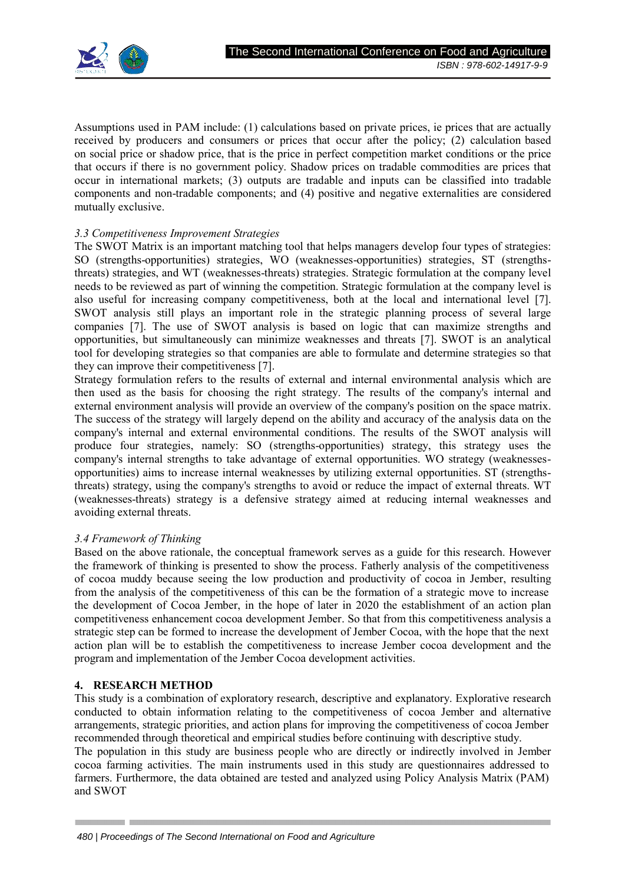

Assumptions used in PAM include: (1) calculations based on private prices, ie prices that are actually received by producers and consumers or prices that occur after the policy; (2) calculation based on social price or shadow price, that is the price in perfect competition market conditions or the price that occurs if there is no government policy. Shadow prices on tradable commodities are prices that occur in international markets; (3) outputs are tradable and inputs can be classified into tradable components and non-tradable components; and (4) positive and negative externalities are considered mutually exclusive.

## *3.3 Competitiveness Improvement Strategies*

The SWOT Matrix is an important matching tool that helps managers develop four types of strategies: SO (strengths-opportunities) strategies, WO (weaknesses-opportunities) strategies, ST (strengthsthreats) strategies, and WT (weaknesses-threats) strategies. Strategic formulation at the company level needs to be reviewed as part of winning the competition. Strategic formulation at the company level is also useful for increasing company competitiveness, both at the local and international level [7]. SWOT analysis still plays an important role in the strategic planning process of several large companies [7]. The use of SWOT analysis is based on logic that can maximize strengths and opportunities, but simultaneously can minimize weaknesses and threats [7]. SWOT is an analytical tool for developing strategies so that companies are able to formulate and determine strategies so that they can improve their competitiveness [7].

Strategy formulation refers to the results of external and internal environmental analysis which are then used as the basis for choosing the right strategy. The results of the company's internal and external environment analysis will provide an overview of the company's position on the space matrix. The success of the strategy will largely depend on the ability and accuracy of the analysis data on the company's internal and external environmental conditions. The results of the SWOT analysis will produce four strategies, namely: SO (strengths-opportunities) strategy, this strategy uses the company's internal strengths to take advantage of external opportunities. WO strategy (weaknessesopportunities) aims to increase internal weaknesses by utilizing external opportunities. ST (strengthsthreats) strategy, using the company's strengths to avoid or reduce the impact of external threats. WT (weaknesses-threats) strategy is a defensive strategy aimed at reducing internal weaknesses and avoiding external threats.

#### *3.4 Framework of Thinking*

Based on the above rationale, the conceptual framework serves as a guide for this research. However the framework of thinking is presented to show the process. Fatherly analysis of the competitiveness of cocoa muddy because seeing the low production and productivity of cocoa in Jember, resulting from the analysis of the competitiveness of this can be the formation of a strategic move to increase the development of Cocoa Jember, in the hope of later in 2020 the establishment of an action plan competitiveness enhancement cocoa development Jember. So that from this competitiveness analysis a strategic step can be formed to increase the development of Jember Cocoa, with the hope that the next action plan will be to establish the competitiveness to increase Jember cocoa development and the program and implementation of the Jember Cocoa development activities.

## **4. RESEARCH METHOD**

This study is a combination of exploratory research, descriptive and explanatory. Explorative research conducted to obtain information relating to the competitiveness of cocoa Jember and alternative arrangements, strategic priorities, and action plans for improving the competitiveness of cocoa Jember recommended through theoretical and empirical studies before continuing with descriptive study.

The population in this study are business people who are directly or indirectly involved in Jember cocoa farming activities. The main instruments used in this study are questionnaires addressed to farmers. Furthermore, the data obtained are tested and analyzed using Policy Analysis Matrix (PAM) and SWOT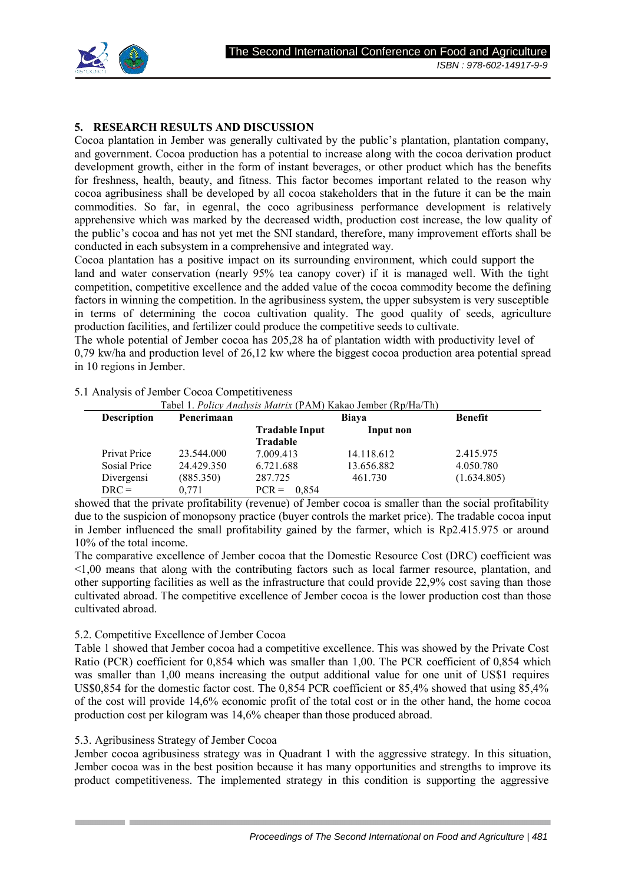

## **5. RESEARCH RESULTS AND DISCUSSION**

Cocoa plantation in Jember was generally cultivated by the public's plantation, plantation company, and government. Cocoa production has a potential to increase along with the cocoa derivation product development growth, either in the form of instant beverages, or other product which has the benefits for freshness, health, beauty, and fitness. This factor becomes important related to the reason why cocoa agribusiness shall be developed by all cocoa stakeholders that in the future it can be the main commodities. So far, in egenral, the coco agribusiness performance development is relatively apprehensive which was marked by the decreased width, production cost increase, the low quality of the public's cocoa and has not yet met the SNI standard, therefore, many improvement efforts shall be conducted in each subsystem in a comprehensive and integrated way.

Cocoa plantation has a positive impact on its surrounding environment, which could support the land and water conservation (nearly 95% tea canopy cover) if it is managed well. With the tight competition, competitive excellence and the added value of the cocoa commodity become the defining factors in winning the competition. In the agribusiness system, the upper subsystem is very susceptible in terms of determining the cocoa cultivation quality. The good quality of seeds, agriculture production facilities, and fertilizer could produce the competitive seeds to cultivate.

The whole potential of Jember cocoa has 205,28 ha of plantation width with productivity level of 0,79 kw/ha and production level of 26,12 kw where the biggest cocoa production area potential spread in 10 regions in Jember.

| Tabel 1. Policy Analysis Matrix (PAM) Kakao Jember (Rp/Ha/Th) |            |                       |            |                |
|---------------------------------------------------------------|------------|-----------------------|------------|----------------|
| <b>Description</b>                                            | Penerimaan | Biava                 |            | <b>Benefit</b> |
|                                                               |            | <b>Tradable Input</b> | Input non  |                |
|                                                               |            | Tradable              |            |                |
| Privat Price                                                  | 23.544.000 | 7.009.413             | 14.118.612 | 2.415.975      |
| Sosial Price                                                  | 24.429.350 | 6.721.688             | 13.656.882 | 4.050.780      |
| Divergensi                                                    | (885.350)  | 287.725               | 461.730    | (1.634.805)    |
| $DRC =$                                                       | 0.771      | $PCR =$<br>0.854      |            |                |

#### 5.1 Analysis of Jember Cocoa Competitiveness

showed that the private profitability (revenue) of Jember cocoa is smaller than the social profitability due to the suspicion of monopsony practice (buyer controls the market price). The tradable cocoa input in Jember influenced the small profitability gained by the farmer, which is Rp2.415.975 or around 10% of the total income.

The comparative excellence of Jember cocoa that the Domestic Resource Cost (DRC) coefficient was <1,00 means that along with the contributing factors such as local farmer resource, plantation, and other supporting facilities as well as the infrastructure that could provide 22,9% cost saving than those cultivated abroad. The competitive excellence of Jember cocoa is the lower production cost than those cultivated abroad.

#### 5.2. Competitive Excellence of Jember Cocoa

Table 1 showed that Jember cocoa had a competitive excellence. This was showed by the Private Cost Ratio (PCR) coefficient for 0,854 which was smaller than 1,00. The PCR coefficient of 0,854 which was smaller than 1,00 means increasing the output additional value for one unit of US\$1 requires US\$0,854 for the domestic factor cost. The 0,854 PCR coefficient or 85,4% showed that using 85,4% of the cost will provide 14,6% economic profit of the total cost or in the other hand, the home cocoa production cost per kilogram was 14,6% cheaper than those produced abroad.

#### 5.3. Agribusiness Strategy of Jember Cocoa

Jember cocoa agribusiness strategy was in Quadrant 1 with the aggressive strategy. In this situation, Jember cocoa was in the best position because it has many opportunities and strengths to improve its product competitiveness. The implemented strategy in this condition is supporting the aggressive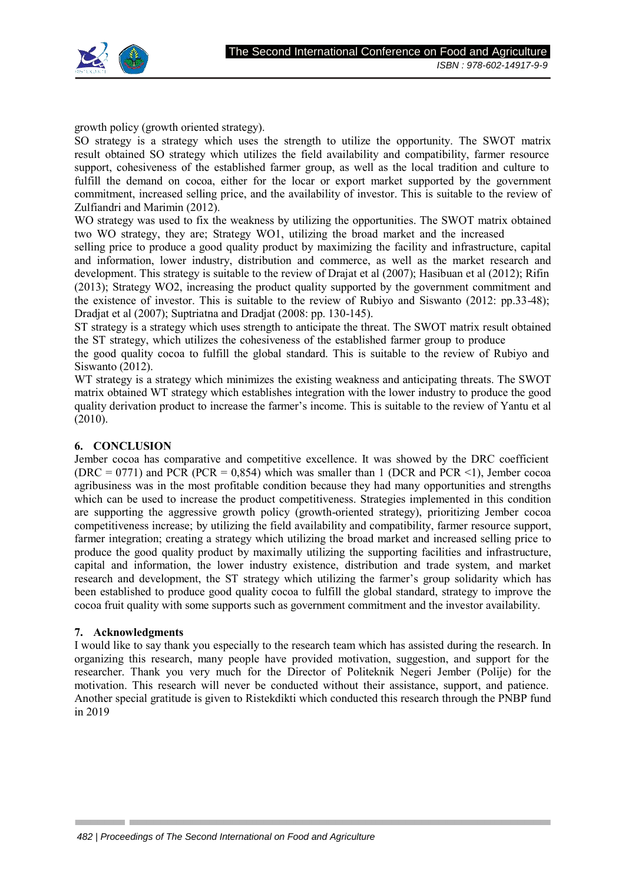

growth policy (growth oriented strategy).

SO strategy is a strategy which uses the strength to utilize the opportunity. The SWOT matrix result obtained SO strategy which utilizes the field availability and compatibility, farmer resource support, cohesiveness of the established farmer group, as well as the local tradition and culture to fulfill the demand on cocoa, either for the locar or export market supported by the government commitment, increased selling price, and the availability of investor. This is suitable to the review of Zulfiandri and Marimin (2012).

WO strategy was used to fix the weakness by utilizing the opportunities. The SWOT matrix obtained two WO strategy, they are; Strategy WO1, utilizing the broad market and the increased

selling price to produce a good quality product by maximizing the facility and infrastructure, capital and information, lower industry, distribution and commerce, as well as the market research and development. This strategy is suitable to the review of Drajat et al (2007); Hasibuan et al (2012); Rifin (2013); Strategy WO2, increasing the product quality supported by the government commitment and the existence of investor. This is suitable to the review of Rubiyo and Siswanto (2012: pp.33-48); Dradjat et al (2007); Suptriatna and Dradjat (2008: pp. 130-145).

ST strategy is a strategy which uses strength to anticipate the threat. The SWOT matrix result obtained the ST strategy, which utilizes the cohesiveness of the established farmer group to produce

the good quality cocoa to fulfill the global standard. This is suitable to the review of Rubiyo and Siswanto (2012).

WT strategy is a strategy which minimizes the existing weakness and anticipating threats. The SWOT matrix obtained WT strategy which establishes integration with the lower industry to produce the good quality derivation product to increase the farmer's income. This is suitable to the review of Yantu et al (2010).

## **6. CONCLUSION**

Jember cocoa has comparative and competitive excellence. It was showed by the DRC coefficient (DRC = 0771) and PCR (PCR = 0,854) which was smaller than 1 (DCR and PCR <1), Jember cocoa agribusiness was in the most profitable condition because they had many opportunities and strengths which can be used to increase the product competitiveness. Strategies implemented in this condition are supporting the aggressive growth policy (growth-oriented strategy), prioritizing Jember cocoa competitiveness increase; by utilizing the field availability and compatibility, farmer resource support, farmer integration; creating a strategy which utilizing the broad market and increased selling price to produce the good quality product by maximally utilizing the supporting facilities and infrastructure, capital and information, the lower industry existence, distribution and trade system, and market research and development, the ST strategy which utilizing the farmer's group solidarity which has been established to produce good quality cocoa to fulfill the global standard, strategy to improve the cocoa fruit quality with some supports such as government commitment and the investor availability.

#### **7. Acknowledgments**

I would like to say thank you especially to the research team which has assisted during the research. In organizing this research, many people have provided motivation, suggestion, and support for the researcher. Thank you very much for the Director of Politeknik Negeri Jember (Polije) for the motivation. This research will never be conducted without their assistance, support, and patience. Another special gratitude is given to Ristekdikti which conducted this research through the PNBP fund in 2019